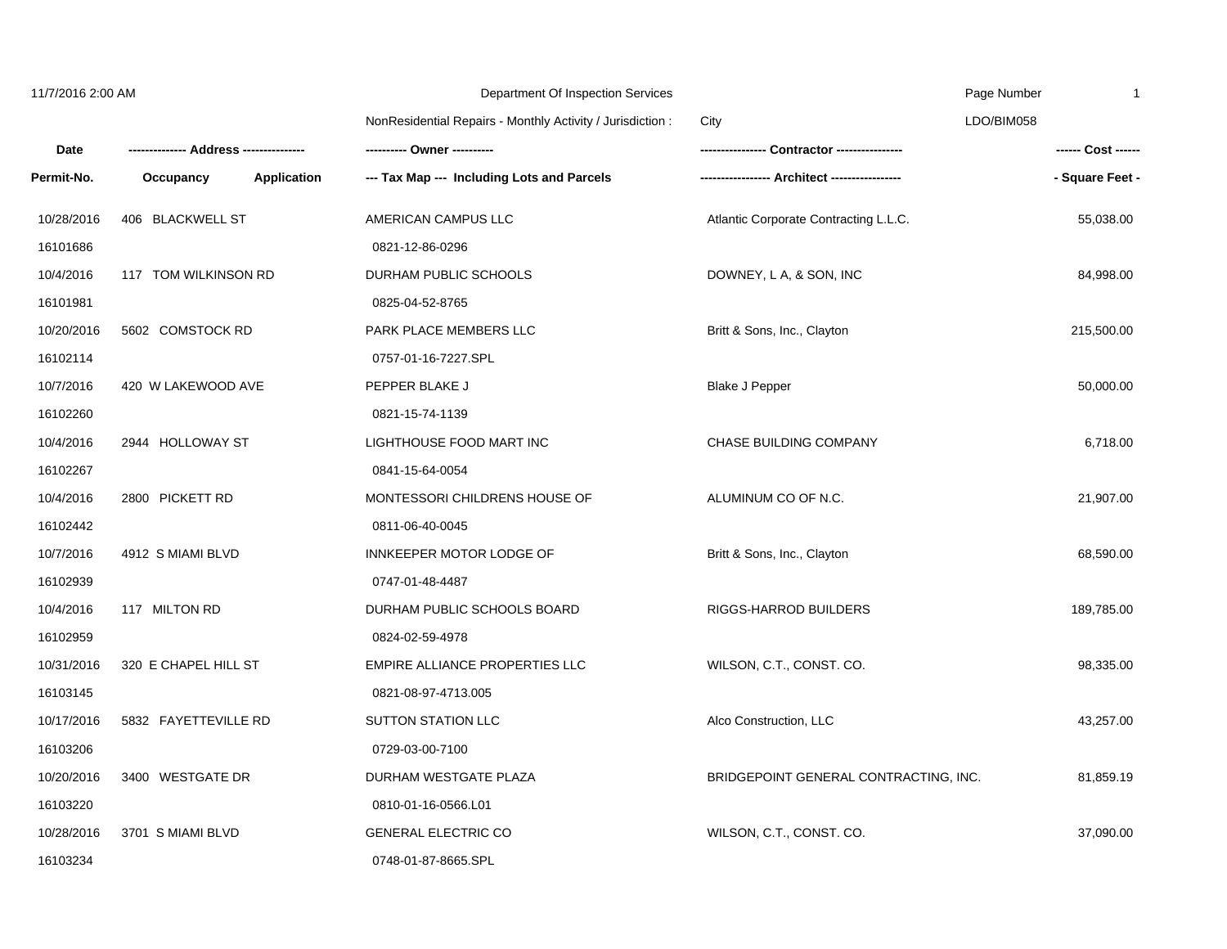| 11/7/2016 2:00 AM |                      |                    | Department Of Inspection Services                         |                                       | Page Number<br>-1  |
|-------------------|----------------------|--------------------|-----------------------------------------------------------|---------------------------------------|--------------------|
|                   |                      |                    | NonResidential Repairs - Monthly Activity / Jurisdiction: | City                                  | LDO/BIM058         |
| <b>Date</b>       |                      |                    | --------- Owner ----------                                | Contractor ----------------           | ------ Cost ------ |
| Permit-No.        | Occupancy            | <b>Application</b> | --- Tax Map --- Including Lots and Parcels                |                                       | - Square Feet -    |
| 10/28/2016        | 406 BLACKWELL ST     |                    | AMERICAN CAMPUS LLC                                       | Atlantic Corporate Contracting L.L.C. | 55,038.00          |
| 16101686          |                      |                    | 0821-12-86-0296                                           |                                       |                    |
| 10/4/2016         | 117 TOM WILKINSON RD |                    | DURHAM PUBLIC SCHOOLS                                     | DOWNEY, L A, & SON, INC               | 84,998.00          |
| 16101981          |                      |                    | 0825-04-52-8765                                           |                                       |                    |
| 10/20/2016        | 5602 COMSTOCK RD     |                    | PARK PLACE MEMBERS LLC                                    | Britt & Sons, Inc., Clayton           | 215,500.00         |
| 16102114          |                      |                    | 0757-01-16-7227.SPL                                       |                                       |                    |
| 10/7/2016         | 420 W LAKEWOOD AVE   |                    | PEPPER BLAKE J                                            | <b>Blake J Pepper</b>                 | 50,000.00          |
| 16102260          |                      |                    | 0821-15-74-1139                                           |                                       |                    |
| 10/4/2016         | 2944 HOLLOWAY ST     |                    | LIGHTHOUSE FOOD MART INC                                  | CHASE BUILDING COMPANY                | 6,718.00           |
| 16102267          |                      |                    | 0841-15-64-0054                                           |                                       |                    |
| 10/4/2016         | 2800 PICKETT RD      |                    | MONTESSORI CHILDRENS HOUSE OF                             | ALUMINUM CO OF N.C.                   | 21,907.00          |
| 16102442          |                      |                    | 0811-06-40-0045                                           |                                       |                    |
| 10/7/2016         | 4912 S MIAMI BLVD    |                    | INNKEEPER MOTOR LODGE OF                                  | Britt & Sons, Inc., Clayton           | 68,590.00          |
| 16102939          |                      |                    | 0747-01-48-4487                                           |                                       |                    |
| 10/4/2016         | 117 MILTON RD        |                    | DURHAM PUBLIC SCHOOLS BOARD                               | RIGGS-HARROD BUILDERS                 | 189,785.00         |
| 16102959          |                      |                    | 0824-02-59-4978                                           |                                       |                    |
| 10/31/2016        | 320 E CHAPEL HILL ST |                    | EMPIRE ALLIANCE PROPERTIES LLC                            | WILSON, C.T., CONST. CO.              | 98,335.00          |
| 16103145          |                      |                    | 0821-08-97-4713.005                                       |                                       |                    |
| 10/17/2016        | 5832 FAYETTEVILLE RD |                    | <b>SUTTON STATION LLC</b>                                 | Alco Construction, LLC                | 43,257.00          |
| 16103206          |                      |                    | 0729-03-00-7100                                           |                                       |                    |
| 10/20/2016        | 3400 WESTGATE DR     |                    | DURHAM WESTGATE PLAZA                                     | BRIDGEPOINT GENERAL CONTRACTING, INC. | 81,859.19          |
| 16103220          |                      |                    | 0810-01-16-0566.L01                                       |                                       |                    |
| 10/28/2016        | 3701 S MIAMI BLVD    |                    | <b>GENERAL ELECTRIC CO</b>                                | WILSON, C.T., CONST. CO.              | 37,090.00          |
| 16103234          |                      |                    | 0748-01-87-8665.SPL                                       |                                       |                    |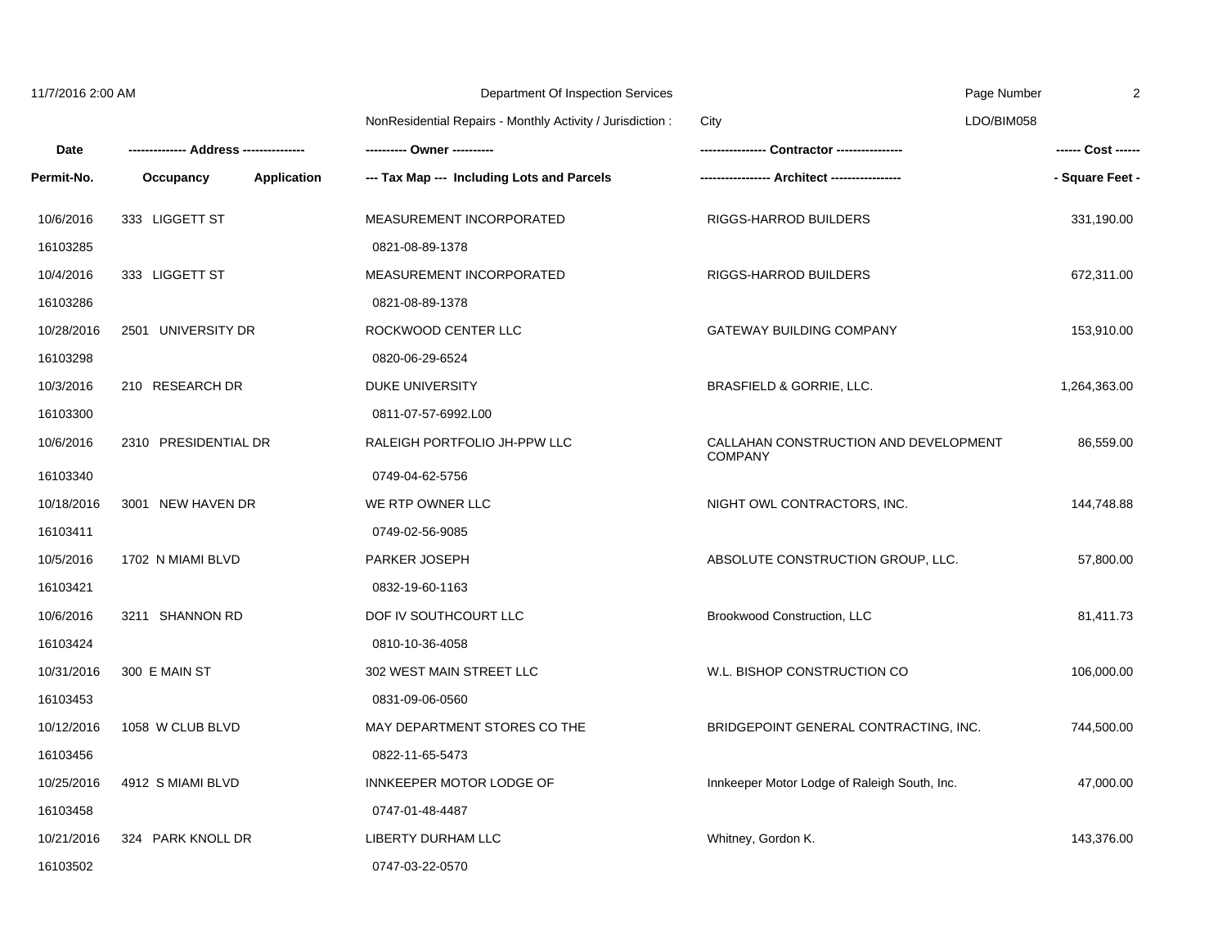| 11/7/2016 2:00 AM |                      |                    | Department Of Inspection Services                          |                                                         | Page Number<br>2   |
|-------------------|----------------------|--------------------|------------------------------------------------------------|---------------------------------------------------------|--------------------|
|                   |                      |                    | NonResidential Repairs - Monthly Activity / Jurisdiction : | City                                                    | LDO/BIM058         |
| Date              |                      |                    | ---------- Owner ----------                                |                                                         | ------ Cost ------ |
| Permit-No.        | Occupancy            | <b>Application</b> | --- Tax Map --- Including Lots and Parcels                 |                                                         | - Square Feet -    |
| 10/6/2016         | 333 LIGGETT ST       |                    | MEASUREMENT INCORPORATED                                   | RIGGS-HARROD BUILDERS                                   | 331,190.00         |
| 16103285          |                      |                    | 0821-08-89-1378                                            |                                                         |                    |
| 10/4/2016         | 333 LIGGETT ST       |                    | MEASUREMENT INCORPORATED                                   | RIGGS-HARROD BUILDERS                                   | 672,311.00         |
| 16103286          |                      |                    | 0821-08-89-1378                                            |                                                         |                    |
| 10/28/2016        | 2501 UNIVERSITY DR   |                    | ROCKWOOD CENTER LLC                                        | <b>GATEWAY BUILDING COMPANY</b>                         | 153,910.00         |
| 16103298          |                      |                    | 0820-06-29-6524                                            |                                                         |                    |
| 10/3/2016         | 210 RESEARCH DR      |                    | DUKE UNIVERSITY                                            | BRASFIELD & GORRIE, LLC.                                | 1,264,363.00       |
| 16103300          |                      |                    | 0811-07-57-6992.L00                                        |                                                         |                    |
| 10/6/2016         | 2310 PRESIDENTIAL DR |                    | RALEIGH PORTFOLIO JH-PPW LLC                               | CALLAHAN CONSTRUCTION AND DEVELOPMENT<br><b>COMPANY</b> | 86,559.00          |
| 16103340          |                      |                    | 0749-04-62-5756                                            |                                                         |                    |
| 10/18/2016        | 3001 NEW HAVEN DR    |                    | WE RTP OWNER LLC                                           | NIGHT OWL CONTRACTORS, INC.                             | 144,748.88         |
| 16103411          |                      |                    | 0749-02-56-9085                                            |                                                         |                    |
| 10/5/2016         | 1702 N MIAMI BLVD    |                    | PARKER JOSEPH                                              | ABSOLUTE CONSTRUCTION GROUP, LLC.                       | 57,800.00          |
| 16103421          |                      |                    | 0832-19-60-1163                                            |                                                         |                    |
| 10/6/2016         | 3211 SHANNON RD      |                    | DOF IV SOUTHCOURT LLC                                      | Brookwood Construction, LLC                             | 81,411.73          |
| 16103424          |                      |                    | 0810-10-36-4058                                            |                                                         |                    |
| 10/31/2016        | 300 E MAIN ST        |                    | 302 WEST MAIN STREET LLC                                   | W.L. BISHOP CONSTRUCTION CO                             | 106,000.00         |
| 16103453          |                      |                    | 0831-09-06-0560                                            |                                                         |                    |
| 10/12/2016        | 1058 W CLUB BLVD     |                    | MAY DEPARTMENT STORES CO THE                               | BRIDGEPOINT GENERAL CONTRACTING, INC.                   | 744,500.00         |
| 16103456          |                      |                    | 0822-11-65-5473                                            |                                                         |                    |
| 10/25/2016        | 4912 S MIAMI BLVD    |                    | INNKEEPER MOTOR LODGE OF                                   | Innkeeper Motor Lodge of Raleigh South, Inc.            | 47,000.00          |
| 16103458          |                      |                    | 0747-01-48-4487                                            |                                                         |                    |
| 10/21/2016        | 324 PARK KNOLL DR    |                    | LIBERTY DURHAM LLC                                         | Whitney, Gordon K.                                      | 143,376.00         |
| 16103502          |                      |                    | 0747-03-22-0570                                            |                                                         |                    |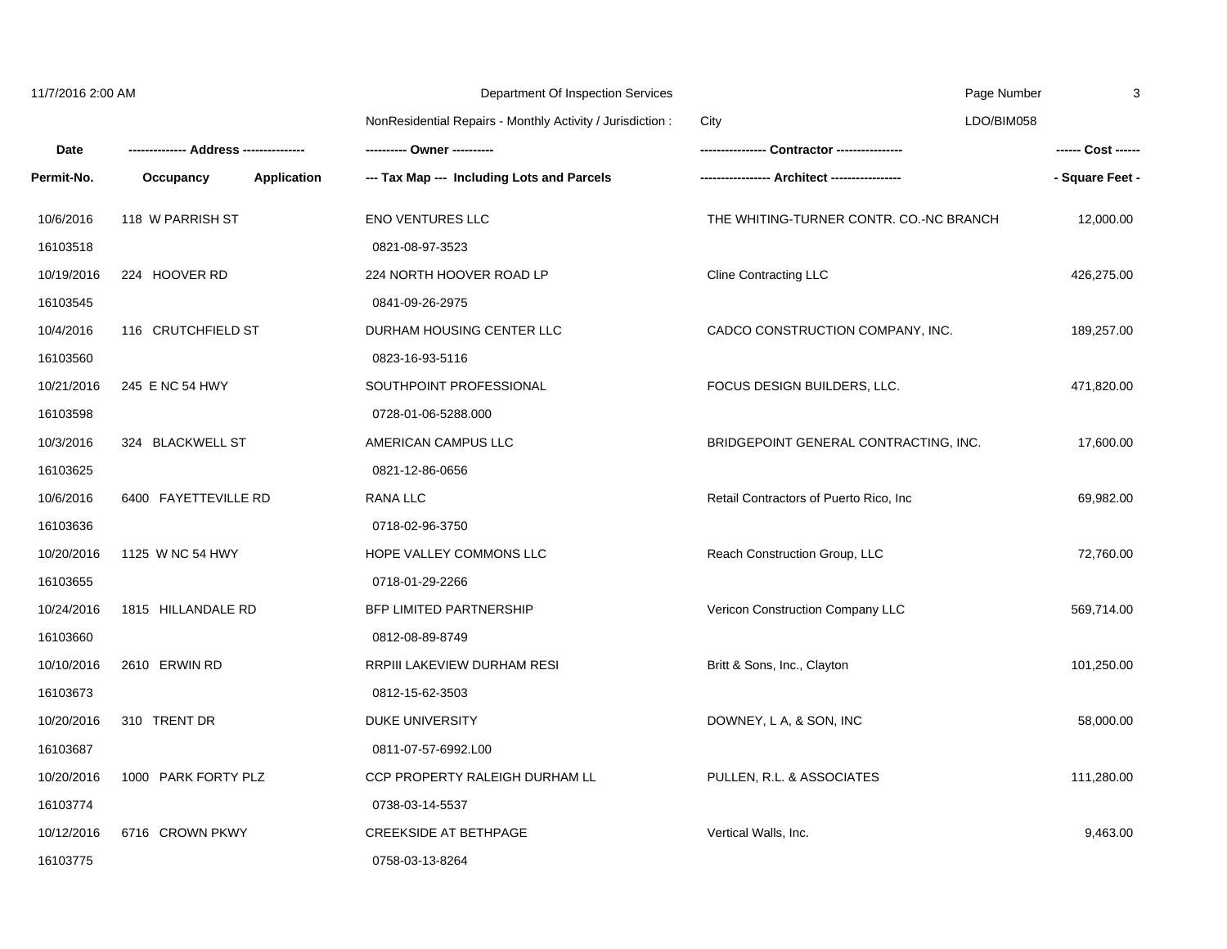| 11/7/2016 2:00 AM |                      |                    | Department Of Inspection Services                          |                                         | Page Number<br>3 |  |
|-------------------|----------------------|--------------------|------------------------------------------------------------|-----------------------------------------|------------------|--|
|                   |                      |                    | NonResidential Repairs - Monthly Activity / Jurisdiction : | City                                    | LDO/BIM058       |  |
| Date              |                      |                    | ---------- Owner ----------                                |                                         |                  |  |
| Permit-No.        | Occupancy            | <b>Application</b> | --- Tax Map --- Including Lots and Parcels                 |                                         | - Square Feet -  |  |
| 10/6/2016         | 118 W PARRISH ST     |                    | <b>ENO VENTURES LLC</b>                                    | THE WHITING-TURNER CONTR. CO.-NC BRANCH | 12,000.00        |  |
| 16103518          |                      |                    | 0821-08-97-3523                                            |                                         |                  |  |
| 10/19/2016        | 224 HOOVER RD        |                    | 224 NORTH HOOVER ROAD LP                                   | <b>Cline Contracting LLC</b>            | 426,275.00       |  |
| 16103545          |                      |                    | 0841-09-26-2975                                            |                                         |                  |  |
| 10/4/2016         | 116 CRUTCHFIELD ST   |                    | DURHAM HOUSING CENTER LLC                                  | CADCO CONSTRUCTION COMPANY, INC.        | 189,257.00       |  |
| 16103560          |                      |                    | 0823-16-93-5116                                            |                                         |                  |  |
| 10/21/2016        | 245 E NC 54 HWY      |                    | SOUTHPOINT PROFESSIONAL                                    | FOCUS DESIGN BUILDERS, LLC.             | 471,820.00       |  |
| 16103598          |                      |                    | 0728-01-06-5288.000                                        |                                         |                  |  |
| 10/3/2016         | 324 BLACKWELL ST     |                    | AMERICAN CAMPUS LLC                                        | BRIDGEPOINT GENERAL CONTRACTING, INC.   | 17,600.00        |  |
| 16103625          |                      |                    | 0821-12-86-0656                                            |                                         |                  |  |
| 10/6/2016         | 6400 FAYETTEVILLE RD |                    | <b>RANA LLC</b>                                            | Retail Contractors of Puerto Rico, Inc. | 69,982.00        |  |
| 16103636          |                      |                    | 0718-02-96-3750                                            |                                         |                  |  |
| 10/20/2016        | 1125 W NC 54 HWY     |                    | HOPE VALLEY COMMONS LLC                                    | Reach Construction Group, LLC           | 72,760.00        |  |
| 16103655          |                      |                    | 0718-01-29-2266                                            |                                         |                  |  |
| 10/24/2016        | 1815 HILLANDALE RD   |                    | <b>BFP LIMITED PARTNERSHIP</b>                             | Vericon Construction Company LLC        | 569,714.00       |  |
| 16103660          |                      |                    | 0812-08-89-8749                                            |                                         |                  |  |
| 10/10/2016        | 2610 ERWIN RD        |                    | RRPIII LAKEVIEW DURHAM RESI                                | Britt & Sons, Inc., Clayton             | 101,250.00       |  |
| 16103673          |                      |                    | 0812-15-62-3503                                            |                                         |                  |  |
| 10/20/2016        | 310 TRENT DR         |                    | <b>DUKE UNIVERSITY</b>                                     | DOWNEY, L A, & SON, INC                 | 58,000.00        |  |
| 16103687          |                      |                    | 0811-07-57-6992.L00                                        |                                         |                  |  |
| 10/20/2016        | 1000 PARK FORTY PLZ  |                    | CCP PROPERTY RALEIGH DURHAM LL                             | PULLEN, R.L. & ASSOCIATES               | 111,280.00       |  |
| 16103774          |                      |                    | 0738-03-14-5537                                            |                                         |                  |  |
| 10/12/2016        | 6716 CROWN PKWY      |                    | <b>CREEKSIDE AT BETHPAGE</b>                               | Vertical Walls, Inc.                    | 9,463.00         |  |
| 16103775          |                      |                    | 0758-03-13-8264                                            |                                         |                  |  |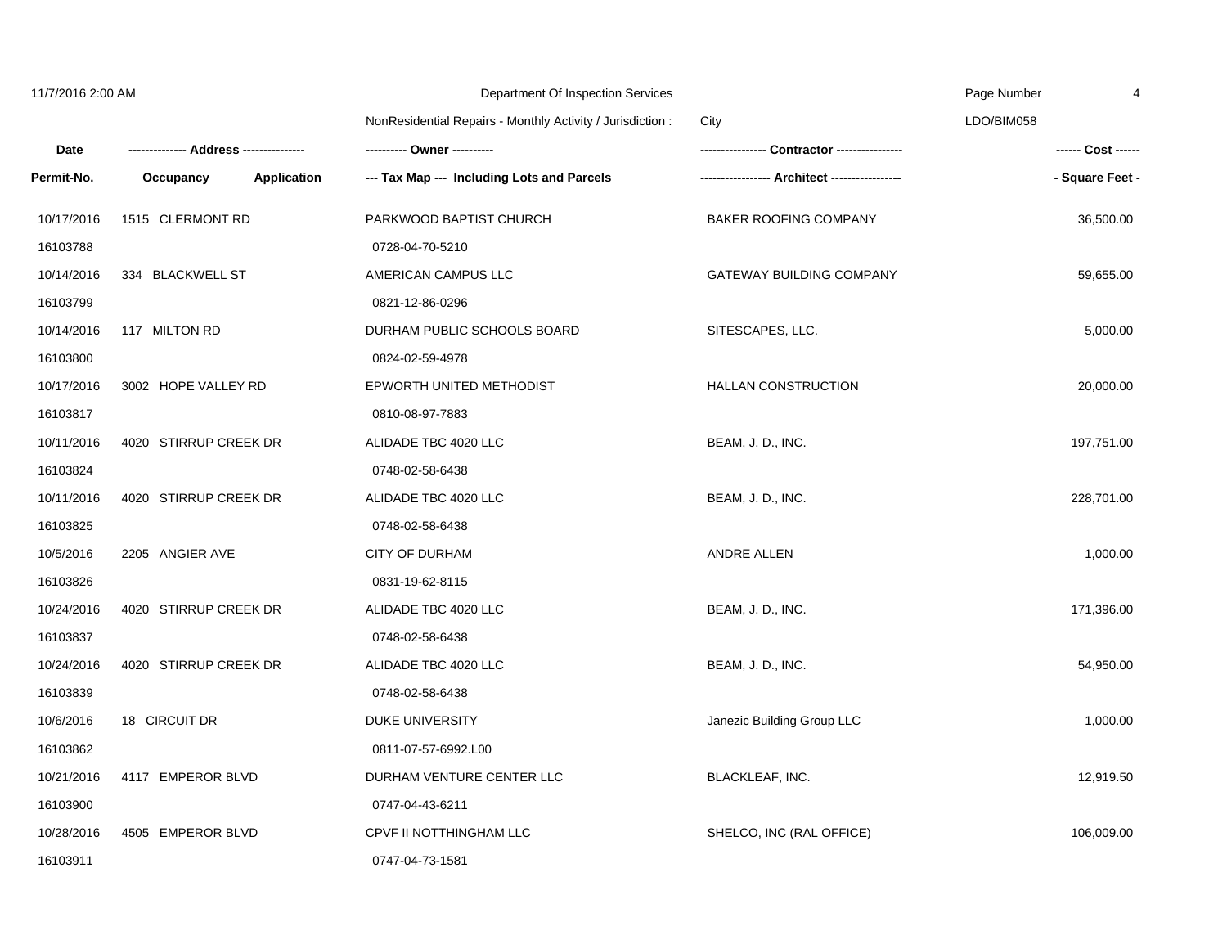| 11/7/2016 2:00 AM |                                 | Department Of Inspection Services                          |                                 | Page Number<br>4   |  |
|-------------------|---------------------------------|------------------------------------------------------------|---------------------------------|--------------------|--|
|                   |                                 | NonResidential Repairs - Monthly Activity / Jurisdiction : | City                            | LDO/BIM058         |  |
| Date              |                                 | --------- Owner ----------                                 |                                 | ------ Cost ------ |  |
| Permit-No.        | <b>Application</b><br>Occupancy | --- Tax Map --- Including Lots and Parcels                 |                                 | - Square Feet -    |  |
| 10/17/2016        | 1515 CLERMONT RD                | PARKWOOD BAPTIST CHURCH                                    | BAKER ROOFING COMPANY           | 36,500.00          |  |
| 16103788          |                                 | 0728-04-70-5210                                            |                                 |                    |  |
| 10/14/2016        | 334 BLACKWELL ST                | AMERICAN CAMPUS LLC                                        | <b>GATEWAY BUILDING COMPANY</b> | 59,655.00          |  |
| 16103799          |                                 | 0821-12-86-0296                                            |                                 |                    |  |
| 10/14/2016        | 117 MILTON RD                   | DURHAM PUBLIC SCHOOLS BOARD                                | SITESCAPES, LLC.                | 5,000.00           |  |
| 16103800          |                                 | 0824-02-59-4978                                            |                                 |                    |  |
| 10/17/2016        | 3002 HOPE VALLEY RD             | EPWORTH UNITED METHODIST                                   | HALLAN CONSTRUCTION             | 20,000.00          |  |
| 16103817          |                                 | 0810-08-97-7883                                            |                                 |                    |  |
| 10/11/2016        | 4020 STIRRUP CREEK DR           | ALIDADE TBC 4020 LLC                                       | BEAM, J. D., INC.               | 197,751.00         |  |
| 16103824          |                                 | 0748-02-58-6438                                            |                                 |                    |  |
| 10/11/2016        | 4020 STIRRUP CREEK DR           | ALIDADE TBC 4020 LLC                                       | BEAM, J. D., INC.               | 228,701.00         |  |
| 16103825          |                                 | 0748-02-58-6438                                            |                                 |                    |  |
| 10/5/2016         | 2205 ANGIER AVE                 | <b>CITY OF DURHAM</b>                                      | ANDRE ALLEN                     | 1,000.00           |  |
| 16103826          |                                 | 0831-19-62-8115                                            |                                 |                    |  |
| 10/24/2016        | 4020 STIRRUP CREEK DR           | ALIDADE TBC 4020 LLC                                       | BEAM, J. D., INC.               | 171,396.00         |  |
| 16103837          |                                 | 0748-02-58-6438                                            |                                 |                    |  |
| 10/24/2016        | 4020 STIRRUP CREEK DR           | ALIDADE TBC 4020 LLC                                       | BEAM, J. D., INC.               | 54,950.00          |  |
| 16103839          |                                 | 0748-02-58-6438                                            |                                 |                    |  |
| 10/6/2016         | 18 CIRCUIT DR                   | <b>DUKE UNIVERSITY</b>                                     | Janezic Building Group LLC      | 1,000.00           |  |
| 16103862          |                                 | 0811-07-57-6992.L00                                        |                                 |                    |  |
| 10/21/2016        | 4117 EMPEROR BLVD               | DURHAM VENTURE CENTER LLC                                  | BLACKLEAF, INC.                 | 12,919.50          |  |
| 16103900          |                                 | 0747-04-43-6211                                            |                                 |                    |  |
| 10/28/2016        | 4505 EMPEROR BLVD               | CPVF II NOTTHINGHAM LLC                                    | SHELCO, INC (RAL OFFICE)        | 106,009.00         |  |
| 16103911          |                                 | 0747-04-73-1581                                            |                                 |                    |  |